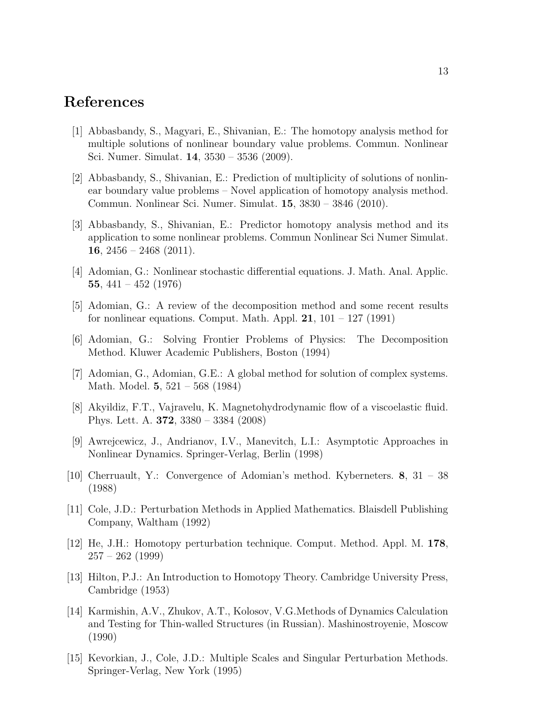## References

- [1] Abbasbandy, S., Magyari, E., Shivanian, E.: The homotopy analysis method for multiple solutions of nonlinear boundary value problems. Commun. Nonlinear Sci. Numer. Simulat. 14, 3530 – 3536 (2009).
- [2] Abbasbandy, S., Shivanian, E.: Prediction of multiplicity of solutions of nonlinear boundary value problems – Novel application of homotopy analysis method. Commun. Nonlinear Sci. Numer. Simulat. 15, 3830 – 3846 (2010).
- [3] Abbasbandy, S., Shivanian, E.: Predictor homotopy analysis method and its application to some nonlinear problems. Commun Nonlinear Sci Numer Simulat. 16,  $2456 - 2468$  (2011).
- [4] Adomian, G.: Nonlinear stochastic differential equations. J. Math. Anal. Applic. 55, 441 – 452 (1976)
- [5] Adomian, G.: A review of the decomposition method and some recent results for nonlinear equations. Comput. Math. Appl.  $21$ ,  $101 - 127$  (1991)
- [6] Adomian, G.: Solving Frontier Problems of Physics: The Decomposition Method. Kluwer Academic Publishers, Boston (1994)
- [7] Adomian, G., Adomian, G.E.: A global method for solution of complex systems. Math. Model. 5, 521 – 568 (1984)
- [8] Akyildiz, F.T., Vajravelu, K. Magnetohydrodynamic flow of a viscoelastic fluid. Phys. Lett. A. 372, 3380 – 3384 (2008)
- [9] Awrejcewicz, J., Andrianov, I.V., Manevitch, L.I.: Asymptotic Approaches in Nonlinear Dynamics. Springer-Verlag, Berlin (1998)
- [10] Cherruault, Y.: Convergence of Adomian's method. Kyberneters. 8, 31 38 (1988)
- [11] Cole, J.D.: Perturbation Methods in Applied Mathematics. Blaisdell Publishing Company, Waltham (1992)
- [12] He, J.H.: Homotopy perturbation technique. Comput. Method. Appl. M. 178,  $257 - 262$  (1999)
- [13] Hilton, P.J.: An Introduction to Homotopy Theory. Cambridge University Press, Cambridge (1953)
- [14] Karmishin, A.V., Zhukov, A.T., Kolosov, V.G.Methods of Dynamics Calculation and Testing for Thin-walled Structures (in Russian). Mashinostroyenie, Moscow (1990)
- [15] Kevorkian, J., Cole, J.D.: Multiple Scales and Singular Perturbation Methods. Springer-Verlag, New York (1995)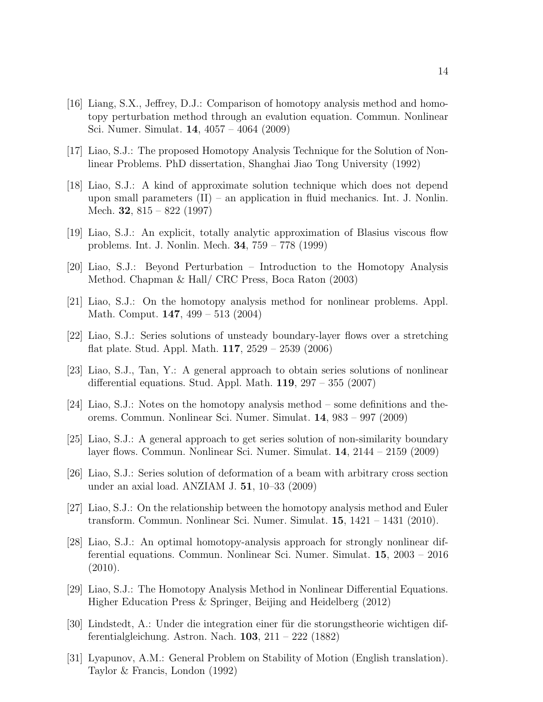- [16] Liang, S.X., Jeffrey, D.J.: Comparison of homotopy analysis method and homotopy perturbation method through an evalution equation. Commun. Nonlinear Sci. Numer. Simulat. 14, 4057 – 4064 (2009)
- [17] Liao, S.J.: The proposed Homotopy Analysis Technique for the Solution of Nonlinear Problems. PhD dissertation, Shanghai Jiao Tong University (1992)
- [18] Liao, S.J.: A kind of approximate solution technique which does not depend upon small parameters  $(II)$  – an application in fluid mechanics. Int. J. Nonlin. Mech. 32, 815 – 822 (1997)
- [19] Liao, S.J.: An explicit, totally analytic approximation of Blasius viscous flow problems. Int. J. Nonlin. Mech. 34, 759 – 778 (1999)
- [20] Liao, S.J.: Beyond Perturbation Introduction to the Homotopy Analysis Method. Chapman & Hall/ CRC Press, Boca Raton (2003)
- [21] Liao, S.J.: On the homotopy analysis method for nonlinear problems. Appl. Math. Comput. 147, 499 – 513 (2004)
- [22] Liao, S.J.: Series solutions of unsteady boundary-layer flows over a stretching flat plate. Stud. Appl. Math. 117, 2529 – 2539 (2006)
- [23] Liao, S.J., Tan, Y.: A general approach to obtain series solutions of nonlinear differential equations. Stud. Appl. Math.  $119$ ,  $297 - 355$  (2007)
- [24] Liao, S.J.: Notes on the homotopy analysis method some definitions and theorems. Commun. Nonlinear Sci. Numer. Simulat. 14, 983 – 997 (2009)
- [25] Liao, S.J.: A general approach to get series solution of non-similarity boundary layer flows. Commun. Nonlinear Sci. Numer. Simulat. 14, 2144 – 2159 (2009)
- [26] Liao, S.J.: Series solution of deformation of a beam with arbitrary cross section under an axial load. ANZIAM J. 51, 10–33 (2009)
- [27] Liao, S.J.: On the relationship between the homotopy analysis method and Euler transform. Commun. Nonlinear Sci. Numer. Simulat. 15, 1421 – 1431 (2010).
- [28] Liao, S.J.: An optimal homotopy-analysis approach for strongly nonlinear differential equations. Commun. Nonlinear Sci. Numer. Simulat. 15, 2003 – 2016 (2010).
- [29] Liao, S.J.: The Homotopy Analysis Method in Nonlinear Differential Equations. Higher Education Press & Springer, Beijing and Heidelberg (2012)
- [30] Lindstedt, A.: Under die integration einer für die storungstheorie wichtigen differentialgleichung. Astron. Nach. 103, 211 – 222 (1882)
- [31] Lyapunov, A.M.: General Problem on Stability of Motion (English translation). Taylor & Francis, London (1992)